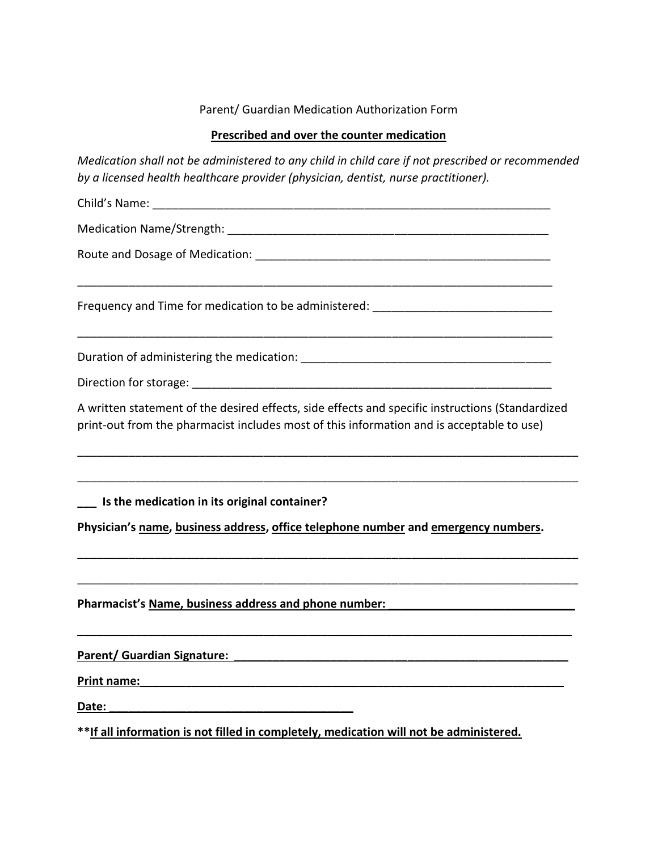## Parent/ Guardian Medication Authorization Form

### **Prescribed and over the counter medication**

*Medication shall not be administered to any child in child care if not prescribed or recommended by a licensed health healthcare provider (physician, dentist, nurse practitioner).*

| Child's Name:                                                                                                                                                                                 |
|-----------------------------------------------------------------------------------------------------------------------------------------------------------------------------------------------|
|                                                                                                                                                                                               |
|                                                                                                                                                                                               |
| Frequency and Time for medication to be administered: __________________________                                                                                                              |
|                                                                                                                                                                                               |
|                                                                                                                                                                                               |
| A written statement of the desired effects, side effects and specific instructions (Standardized<br>print-out from the pharmacist includes most of this information and is acceptable to use) |
|                                                                                                                                                                                               |
| Is the medication in its original container?<br>Physician's name, business address, office telephone number and emergency numbers.                                                            |
|                                                                                                                                                                                               |
| Pharmacist's Name, business address and phone number:                                                                                                                                         |
| <b>Parent/ Guardian Signature:</b>                                                                                                                                                            |
| Print name:                                                                                                                                                                                   |
| Date:<br><u> 1980 - Jan Barnett, fransk politik (d. 1980)</u>                                                                                                                                 |
| **If all information is not filled in completely, medication will not be administered.                                                                                                        |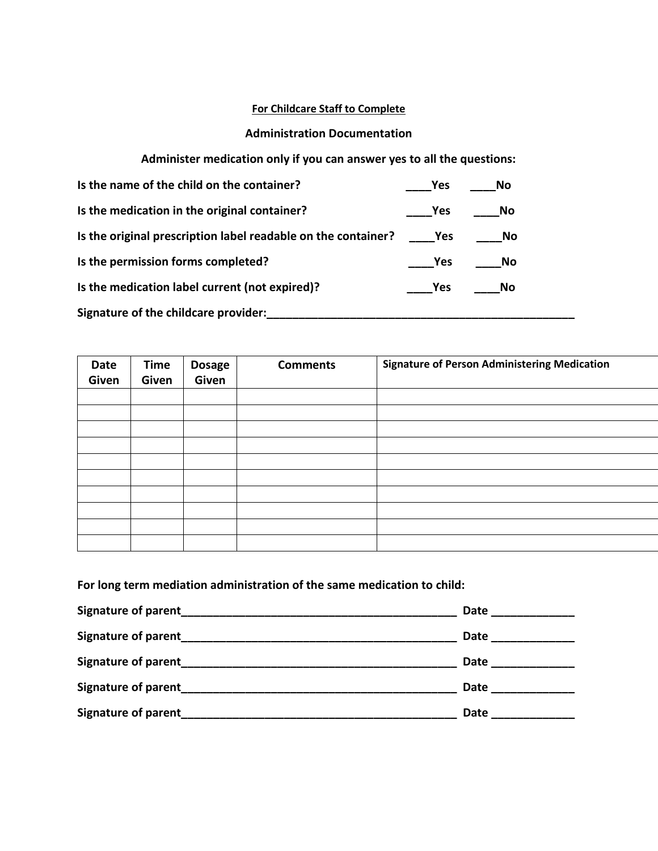### **For Childcare Staff to Complete**

### **Administration Documentation**

## **Administer medication only if you can answer yes to all the questions:**

| Is the name of the child on the container?                    | <b>Yes</b>        | No   |  |
|---------------------------------------------------------------|-------------------|------|--|
| Is the medication in the original container?                  | <b>Yes</b>        | - No |  |
| Is the original prescription label readable on the container? | <b>Parage Yes</b> | No   |  |
| Is the permission forms completed?                            | Yes               | No   |  |
| Is the medication label current (not expired)?                | <b>Press</b>      | - No |  |
| Signature of the childcare provider:                          |                   |      |  |

| Date<br>Given | <b>Time</b><br>Given | <b>Dosage</b><br>Given | <b>Comments</b> | <b>Signature of Person Administering Medication</b> |
|---------------|----------------------|------------------------|-----------------|-----------------------------------------------------|
|               |                      |                        |                 |                                                     |
|               |                      |                        |                 |                                                     |
|               |                      |                        |                 |                                                     |
|               |                      |                        |                 |                                                     |
|               |                      |                        |                 |                                                     |
|               |                      |                        |                 |                                                     |
|               |                      |                        |                 |                                                     |
|               |                      |                        |                 |                                                     |
|               |                      |                        |                 |                                                     |
|               |                      |                        |                 |                                                     |

# **For long term mediation administration of the same medication to child:**

|                     | Date |
|---------------------|------|
| Signature of parent | Date |
| Signature of parent | Date |
|                     | Date |
|                     | Date |
|                     |      |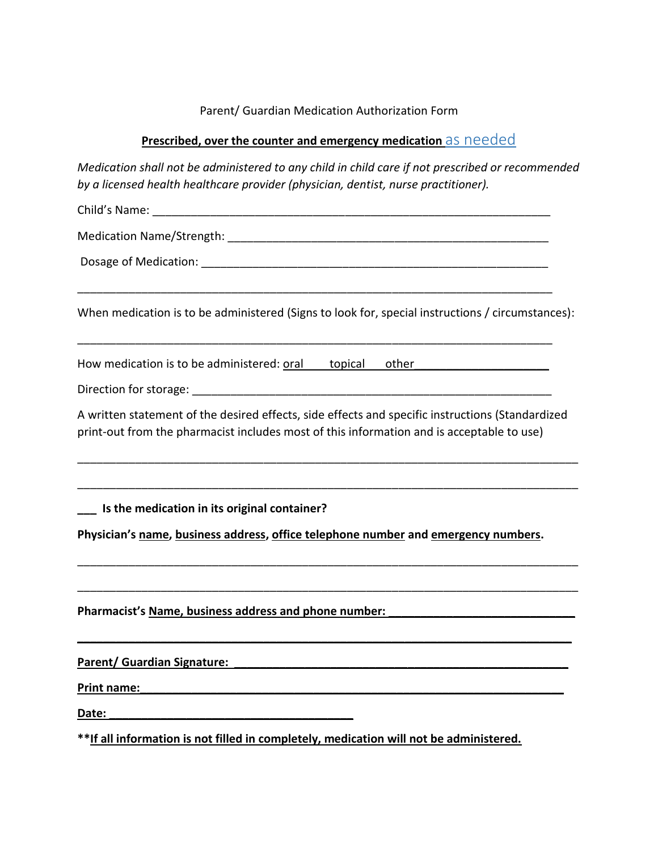### Parent/ Guardian Medication Authorization Form

### **Prescribed, over the counter and emergency medication** as needed

*Medication shall not be administered to any child in child care if not prescribed or recommended by a licensed health healthcare provider (physician, dentist, nurse practitioner).*

Child's Name: \_\_\_\_\_\_\_\_\_\_\_\_\_\_\_\_\_\_\_\_\_\_\_\_\_\_\_\_\_\_\_\_\_\_\_\_\_\_\_\_\_\_\_\_\_\_\_\_\_\_\_\_\_\_\_\_\_\_\_\_\_\_

Medication Name/Strength: **Example 2018** 

Dosage of Medication: \_\_\_\_\_\_\_\_\_\_\_\_\_\_\_\_\_\_\_\_\_\_\_\_\_\_\_\_\_\_\_\_\_\_\_\_\_\_\_\_\_\_\_\_\_\_\_\_\_\_\_\_\_\_

When medication is to be administered (Signs to look for, special instructions / circumstances):

\_\_\_\_\_\_\_\_\_\_\_\_\_\_\_\_\_\_\_\_\_\_\_\_\_\_\_\_\_\_\_\_\_\_\_\_\_\_\_\_\_\_\_\_\_\_\_\_\_\_\_\_\_\_\_\_\_\_\_\_\_\_\_\_\_\_\_\_\_\_\_\_\_\_

\_\_\_\_\_\_\_\_\_\_\_\_\_\_\_\_\_\_\_\_\_\_\_\_\_\_\_\_\_\_\_\_\_\_\_\_\_\_\_\_\_\_\_\_\_\_\_\_\_\_\_\_\_\_\_\_\_\_\_\_\_\_\_\_\_\_\_\_\_\_\_\_\_\_

How medication is to be administered: oral topical other

Direction for storage:  $\Box$ 

A written statement of the desired effects, side effects and specific instructions (Standardized print-out from the pharmacist includes most of this information and is acceptable to use)

\_\_\_\_\_\_\_\_\_\_\_\_\_\_\_\_\_\_\_\_\_\_\_\_\_\_\_\_\_\_\_\_\_\_\_\_\_\_\_\_\_\_\_\_\_\_\_\_\_\_\_\_\_\_\_\_\_\_\_\_\_\_\_\_\_\_\_\_\_\_\_\_\_\_\_\_\_\_

\_\_\_\_\_\_\_\_\_\_\_\_\_\_\_\_\_\_\_\_\_\_\_\_\_\_\_\_\_\_\_\_\_\_\_\_\_\_\_\_\_\_\_\_\_\_\_\_\_\_\_\_\_\_\_\_\_\_\_\_\_\_\_\_\_\_\_\_\_\_\_\_\_\_\_\_\_\_

\_\_\_\_\_\_\_\_\_\_\_\_\_\_\_\_\_\_\_\_\_\_\_\_\_\_\_\_\_\_\_\_\_\_\_\_\_\_\_\_\_\_\_\_\_\_\_\_\_\_\_\_\_\_\_\_\_\_\_\_\_\_\_\_\_\_\_\_\_\_\_\_\_\_\_\_\_\_

\_\_\_\_\_\_\_\_\_\_\_\_\_\_\_\_\_\_\_\_\_\_\_\_\_\_\_\_\_\_\_\_\_\_\_\_\_\_\_\_\_\_\_\_\_\_\_\_\_\_\_\_\_\_\_\_\_\_\_\_\_\_\_\_\_\_\_\_\_\_\_\_\_\_\_\_\_\_

**\_\_\_\_\_\_\_\_\_\_\_\_\_\_\_\_\_\_\_\_\_\_\_\_\_\_\_\_\_\_\_\_\_\_\_\_\_\_\_\_\_\_\_\_\_\_\_\_\_\_\_\_\_\_\_\_\_\_\_\_\_\_\_\_\_\_\_\_\_\_\_\_\_\_\_\_\_**

**\_\_\_ Is the medication in its original container?**

**Physician's name, business address, office telephone number and emergency numbers.** 

Pharmacist's Name, business address and phone number:

Parent/ Guardian Signature:

**Print name:** 

**Date: \_\_\_\_\_\_\_\_\_\_\_\_\_\_\_\_\_\_\_\_\_\_\_\_\_\_\_\_\_\_\_\_\_\_\_\_\_\_**

**\*\*If all information is not filled in completely, medication will not be administered.**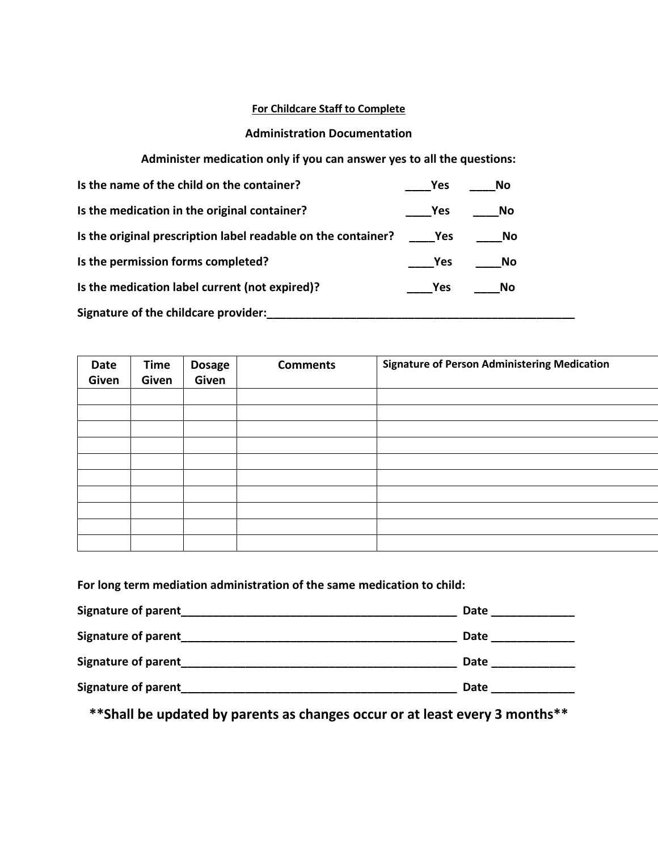### **For Childcare Staff to Complete**

### **Administration Documentation**

**Administer medication only if you can answer yes to all the questions:**

| Is the name of the child on the container?                    | <b>Yes</b>        | <b>No</b> |  |
|---------------------------------------------------------------|-------------------|-----------|--|
| Is the medication in the original container?                  | <b>Yes</b>        | No        |  |
| Is the original prescription label readable on the container? | <b>Parage Yes</b> | No.       |  |
| Is the permission forms completed?                            | <b>Yes</b>        | No        |  |
| Is the medication label current (not expired)?                | <b>Yes</b>        | No        |  |
| Signature of the childcare provider:                          |                   |           |  |

| Date<br>Given | <b>Time</b><br>Given | <b>Dosage</b><br>Given | <b>Comments</b> | <b>Signature of Person Administering Medication</b> |
|---------------|----------------------|------------------------|-----------------|-----------------------------------------------------|
|               |                      |                        |                 |                                                     |
|               |                      |                        |                 |                                                     |
|               |                      |                        |                 |                                                     |
|               |                      |                        |                 |                                                     |
|               |                      |                        |                 |                                                     |
|               |                      |                        |                 |                                                     |
|               |                      |                        |                 |                                                     |
|               |                      |                        |                 |                                                     |
|               |                      |                        |                 |                                                     |
|               |                      |                        |                 |                                                     |

**For long term mediation administration of the same medication to child:**

| Signature of parent        | Date |
|----------------------------|------|
| <b>Signature of parent</b> | Date |
| <b>Signature of parent</b> | Date |
| Signature of parent        | Date |

 **\*\*Shall be updated by parents as changes occur or at least every 3 months\*\***